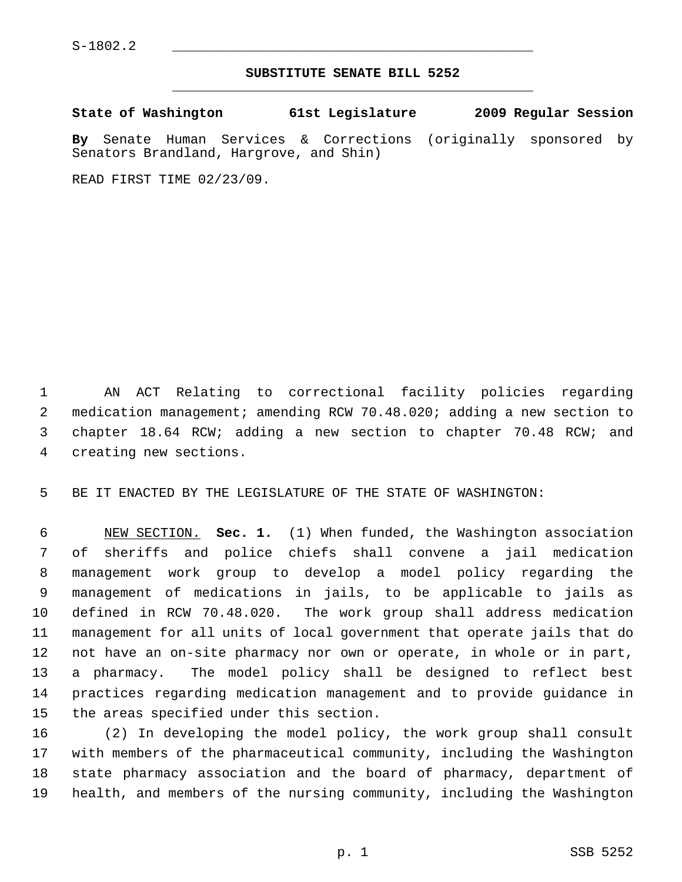## **SUBSTITUTE SENATE BILL 5252** \_\_\_\_\_\_\_\_\_\_\_\_\_\_\_\_\_\_\_\_\_\_\_\_\_\_\_\_\_\_\_\_\_\_\_\_\_\_\_\_\_\_\_\_\_

**State of Washington 61st Legislature 2009 Regular Session**

**By** Senate Human Services & Corrections (originally sponsored by Senators Brandland, Hargrove, and Shin)

READ FIRST TIME 02/23/09.

 1 AN ACT Relating to correctional facility policies regarding 2 medication management; amending RCW 70.48.020; adding a new section to 3 chapter 18.64 RCW; adding a new section to chapter 70.48 RCW; and 4 creating new sections.

5 BE IT ENACTED BY THE LEGISLATURE OF THE STATE OF WASHINGTON:

 6 NEW SECTION. **Sec. 1.** (1) When funded, the Washington association 7 of sheriffs and police chiefs shall convene a jail medication 8 management work group to develop a model policy regarding the 9 management of medications in jails, to be applicable to jails as 10 defined in RCW 70.48.020. The work group shall address medication 11 management for all units of local government that operate jails that do 12 not have an on-site pharmacy nor own or operate, in whole or in part, 13 a pharmacy. The model policy shall be designed to reflect best 14 practices regarding medication management and to provide guidance in 15 the areas specified under this section.

16 (2) In developing the model policy, the work group shall consult 17 with members of the pharmaceutical community, including the Washington 18 state pharmacy association and the board of pharmacy, department of 19 health, and members of the nursing community, including the Washington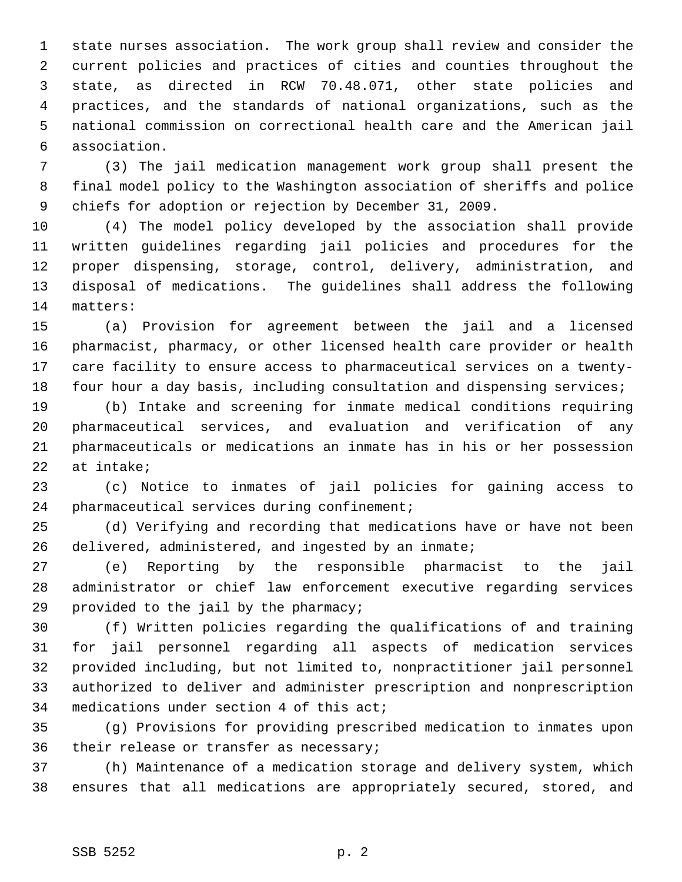1 state nurses association. The work group shall review and consider the 2 current policies and practices of cities and counties throughout the 3 state, as directed in RCW 70.48.071, other state policies and 4 practices, and the standards of national organizations, such as the 5 national commission on correctional health care and the American jail 6 association.

 7 (3) The jail medication management work group shall present the 8 final model policy to the Washington association of sheriffs and police 9 chiefs for adoption or rejection by December 31, 2009.

10 (4) The model policy developed by the association shall provide 11 written guidelines regarding jail policies and procedures for the 12 proper dispensing, storage, control, delivery, administration, and 13 disposal of medications. The guidelines shall address the following 14 matters:

15 (a) Provision for agreement between the jail and a licensed 16 pharmacist, pharmacy, or other licensed health care provider or health 17 care facility to ensure access to pharmaceutical services on a twenty-18 four hour a day basis, including consultation and dispensing services;

19 (b) Intake and screening for inmate medical conditions requiring 20 pharmaceutical services, and evaluation and verification of any 21 pharmaceuticals or medications an inmate has in his or her possession 22 at intake;

23 (c) Notice to inmates of jail policies for gaining access to 24 pharmaceutical services during confinement;

25 (d) Verifying and recording that medications have or have not been 26 delivered, administered, and ingested by an inmate;

27 (e) Reporting by the responsible pharmacist to the jail 28 administrator or chief law enforcement executive regarding services 29 provided to the jail by the pharmacy;

30 (f) Written policies regarding the qualifications of and training 31 for jail personnel regarding all aspects of medication services 32 provided including, but not limited to, nonpractitioner jail personnel 33 authorized to deliver and administer prescription and nonprescription 34 medications under section 4 of this act;

35 (g) Provisions for providing prescribed medication to inmates upon 36 their release or transfer as necessary;

37 (h) Maintenance of a medication storage and delivery system, which 38 ensures that all medications are appropriately secured, stored, and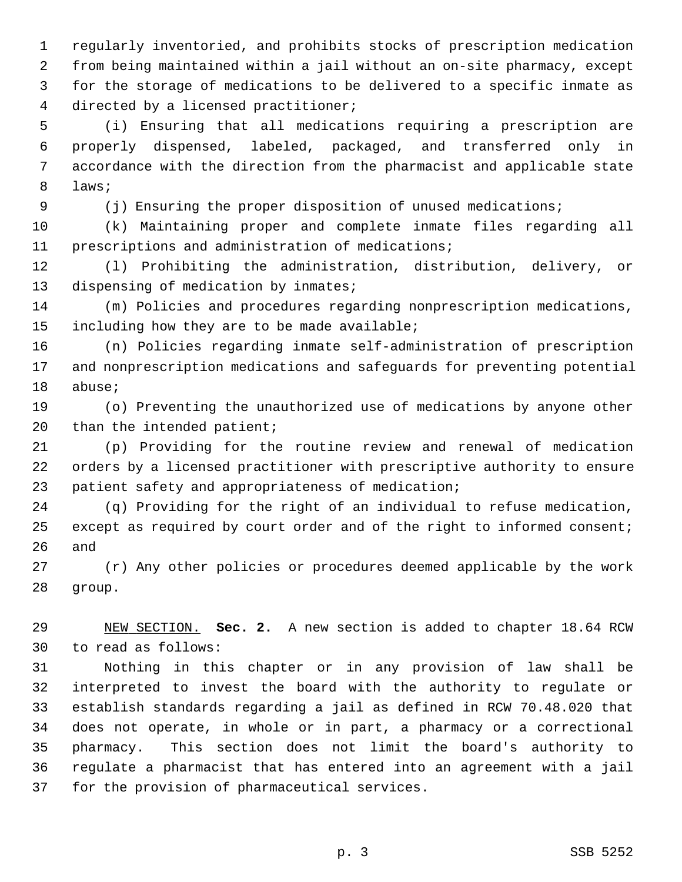1 regularly inventoried, and prohibits stocks of prescription medication 2 from being maintained within a jail without an on-site pharmacy, except 3 for the storage of medications to be delivered to a specific inmate as 4 directed by a licensed practitioner;

 5 (i) Ensuring that all medications requiring a prescription are 6 properly dispensed, labeled, packaged, and transferred only in 7 accordance with the direction from the pharmacist and applicable state 8 laws;

9 (j) Ensuring the proper disposition of unused medications;

10 (k) Maintaining proper and complete inmate files regarding all 11 prescriptions and administration of medications;

12 (l) Prohibiting the administration, distribution, delivery, or 13 dispensing of medication by inmates;

14 (m) Policies and procedures regarding nonprescription medications, 15 including how they are to be made available;

16 (n) Policies regarding inmate self-administration of prescription 17 and nonprescription medications and safeguards for preventing potential 18 abuse;

19 (o) Preventing the unauthorized use of medications by anyone other 20 than the intended patient;

21 (p) Providing for the routine review and renewal of medication 22 orders by a licensed practitioner with prescriptive authority to ensure 23 patient safety and appropriateness of medication;

24 (q) Providing for the right of an individual to refuse medication, 25 except as required by court order and of the right to informed consent; 26 and

27 (r) Any other policies or procedures deemed applicable by the work 28 group.

29 NEW SECTION. **Sec. 2.** A new section is added to chapter 18.64 RCW 30 to read as follows:

31 Nothing in this chapter or in any provision of law shall be 32 interpreted to invest the board with the authority to regulate or 33 establish standards regarding a jail as defined in RCW 70.48.020 that 34 does not operate, in whole or in part, a pharmacy or a correctional 35 pharmacy. This section does not limit the board's authority to 36 regulate a pharmacist that has entered into an agreement with a jail 37 for the provision of pharmaceutical services.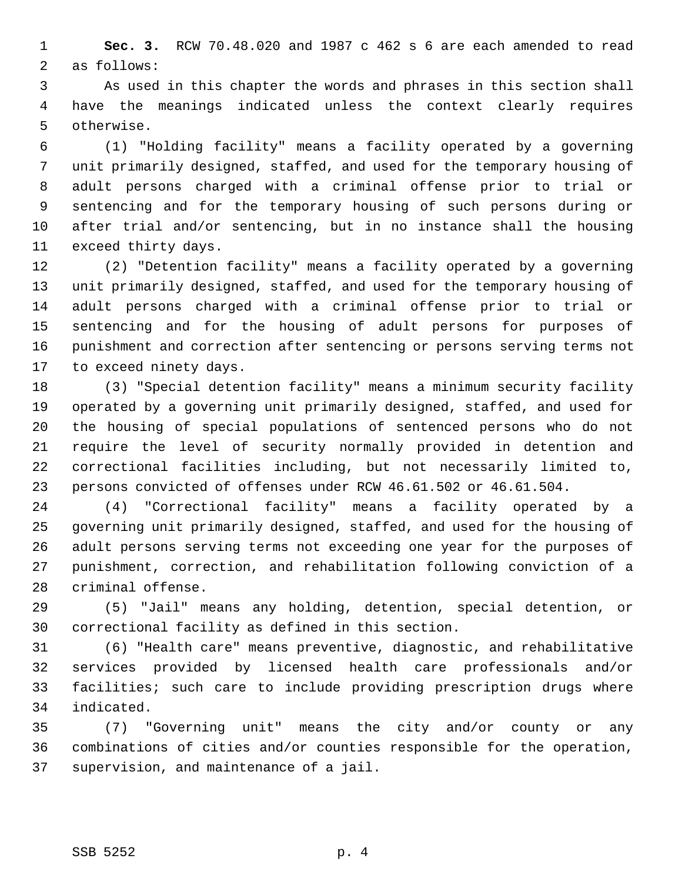1 **Sec. 3.** RCW 70.48.020 and 1987 c 462 s 6 are each amended to read 2 as follows:

 3 As used in this chapter the words and phrases in this section shall 4 have the meanings indicated unless the context clearly requires 5 otherwise.

 6 (1) "Holding facility" means a facility operated by a governing 7 unit primarily designed, staffed, and used for the temporary housing of 8 adult persons charged with a criminal offense prior to trial or 9 sentencing and for the temporary housing of such persons during or 10 after trial and/or sentencing, but in no instance shall the housing 11 exceed thirty days.

12 (2) "Detention facility" means a facility operated by a governing 13 unit primarily designed, staffed, and used for the temporary housing of 14 adult persons charged with a criminal offense prior to trial or 15 sentencing and for the housing of adult persons for purposes of 16 punishment and correction after sentencing or persons serving terms not 17 to exceed ninety days.

18 (3) "Special detention facility" means a minimum security facility 19 operated by a governing unit primarily designed, staffed, and used for 20 the housing of special populations of sentenced persons who do not 21 require the level of security normally provided in detention and 22 correctional facilities including, but not necessarily limited to, 23 persons convicted of offenses under RCW 46.61.502 or 46.61.504.

24 (4) "Correctional facility" means a facility operated by a 25 governing unit primarily designed, staffed, and used for the housing of 26 adult persons serving terms not exceeding one year for the purposes of 27 punishment, correction, and rehabilitation following conviction of a 28 criminal offense.

29 (5) "Jail" means any holding, detention, special detention, or 30 correctional facility as defined in this section.

31 (6) "Health care" means preventive, diagnostic, and rehabilitative 32 services provided by licensed health care professionals and/or 33 facilities; such care to include providing prescription drugs where 34 indicated.

35 (7) "Governing unit" means the city and/or county or any 36 combinations of cities and/or counties responsible for the operation, 37 supervision, and maintenance of a jail.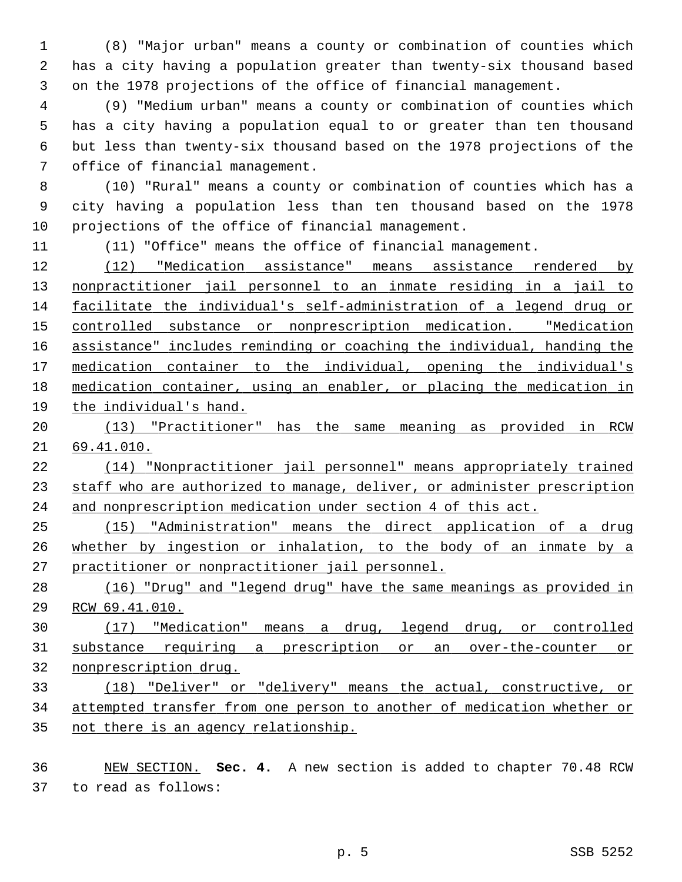1 (8) "Major urban" means a county or combination of counties which 2 has a city having a population greater than twenty-six thousand based 3 on the 1978 projections of the office of financial management.

 4 (9) "Medium urban" means a county or combination of counties which 5 has a city having a population equal to or greater than ten thousand 6 but less than twenty-six thousand based on the 1978 projections of the 7 office of financial management.

 8 (10) "Rural" means a county or combination of counties which has a 9 city having a population less than ten thousand based on the 1978 10 projections of the office of financial management.

11 (11) "Office" means the office of financial management.

 (12) "Medication assistance" means assistance rendered by nonpractitioner jail personnel to an inmate residing in a jail to facilitate the individual's self-administration of a legend drug or controlled substance or nonprescription medication. "Medication assistance" includes reminding or coaching the individual, handing the medication container to the individual, opening the individual's medication container, using an enabler, or placing the medication in the individual's hand.

 (13) "Practitioner" has the same meaning as provided in RCW 69.41.010.

 (14) "Nonpractitioner jail personnel" means appropriately trained 23 staff who are authorized to manage, deliver, or administer prescription and nonprescription medication under section 4 of this act.

 (15) "Administration" means the direct application of a drug whether by ingestion or inhalation, to the body of an inmate by a practitioner or nonpractitioner jail personnel.

 (16) "Drug" and "legend drug" have the same meanings as provided in RCW 69.41.010.

 (17) "Medication" means a drug, legend drug, or controlled substance requiring a prescription or an over-the-counter or nonprescription drug.

 (18) "Deliver" or "delivery" means the actual, constructive, or attempted transfer from one person to another of medication whether or not there is an agency relationship.

 NEW SECTION. **Sec. 4.** A new section is added to chapter 70.48 RCW 37 to read as follows: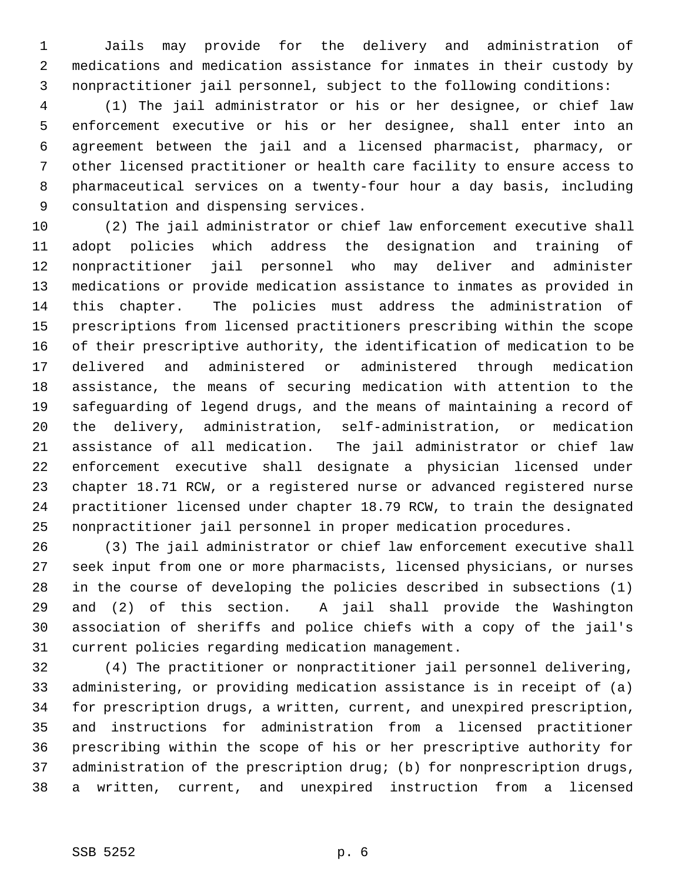1 Jails may provide for the delivery and administration of 2 medications and medication assistance for inmates in their custody by 3 nonpractitioner jail personnel, subject to the following conditions:

 4 (1) The jail administrator or his or her designee, or chief law 5 enforcement executive or his or her designee, shall enter into an 6 agreement between the jail and a licensed pharmacist, pharmacy, or 7 other licensed practitioner or health care facility to ensure access to 8 pharmaceutical services on a twenty-four hour a day basis, including 9 consultation and dispensing services.

10 (2) The jail administrator or chief law enforcement executive shall 11 adopt policies which address the designation and training of 12 nonpractitioner jail personnel who may deliver and administer 13 medications or provide medication assistance to inmates as provided in 14 this chapter. The policies must address the administration of 15 prescriptions from licensed practitioners prescribing within the scope 16 of their prescriptive authority, the identification of medication to be 17 delivered and administered or administered through medication 18 assistance, the means of securing medication with attention to the 19 safeguarding of legend drugs, and the means of maintaining a record of 20 the delivery, administration, self-administration, or medication 21 assistance of all medication. The jail administrator or chief law 22 enforcement executive shall designate a physician licensed under 23 chapter 18.71 RCW, or a registered nurse or advanced registered nurse 24 practitioner licensed under chapter 18.79 RCW, to train the designated 25 nonpractitioner jail personnel in proper medication procedures.

26 (3) The jail administrator or chief law enforcement executive shall 27 seek input from one or more pharmacists, licensed physicians, or nurses 28 in the course of developing the policies described in subsections (1) 29 and (2) of this section. A jail shall provide the Washington 30 association of sheriffs and police chiefs with a copy of the jail's 31 current policies regarding medication management.

32 (4) The practitioner or nonpractitioner jail personnel delivering, 33 administering, or providing medication assistance is in receipt of (a) 34 for prescription drugs, a written, current, and unexpired prescription, 35 and instructions for administration from a licensed practitioner 36 prescribing within the scope of his or her prescriptive authority for 37 administration of the prescription drug; (b) for nonprescription drugs, 38 a written, current, and unexpired instruction from a licensed